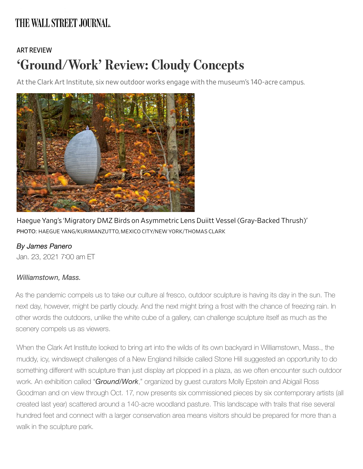## THE WALL STREET JOURNAL.

## [ART REVIEW](https://www.wsj.com/news/types/art-review?mod=breadcrumb) 'Ground/Work' Review: Cloudy Concepts

At the Clark Art Institute, six new outdoor works engage with the museum's 140-acre campus.



Haegue Yang's 'Migratory DMZ Birds on Asymmetric Lens Duiitt Vessel (Gray-Backed Thrush)' PHOTO: HAEGUE YANG/KURIMANZUTTO, MEXICO CITY/NEW YORK/THOMAS CLARK

## *By James Panero*

Jan. 23, 2021 700 am ET

## *Williamstown, Mass.*

As the pandemic compels us to take our culture al fresco, outdoor sculpture is having its day in the sun. The next day, however, might be partly cloudy. And the next might bring a frost with the chance of freezing rain. In other words the outdoors, unlike the white cube of a gallery, can challenge sculpture itself as much as the scenery compels us as viewers.

When the Clark Art Institute looked to bring art into the wilds of its own backyard in Williamstown, Mass., the muddy, icy, windswept challenges of a New England hillside called Stone Hill suggested an opportunity to do something different with sculpture than just display art plopped in a plaza, as we often encounter such outdoor work. An exhibition called "*Ground/Work*," organized by guest curators Molly Epstein and Abigail Ross Goodman and on view through Oct. 17, now presents six commissioned pieces by six contemporary artists (all created last year) scattered around a 140-acre woodland pasture. This landscape with trails that rise several hundred feet and connect with a larger conservation area means visitors should be prepared for more than a walk in the sculpture park.